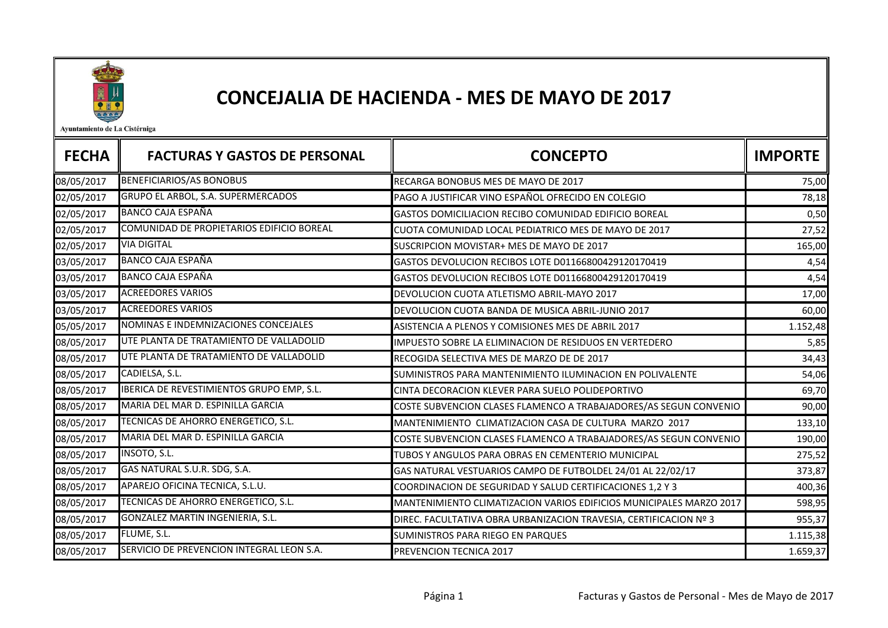

## CONCEJALIA DE HACIENDA - MES DE MAYO DE 2017

Ayuntamiento de La Cistérniga

| <b>FECHA</b> | <b>FACTURAS Y GASTOS DE PERSONAL</b>      | <b>CONCEPTO</b>                                                     | <b>IMPORTE</b> |
|--------------|-------------------------------------------|---------------------------------------------------------------------|----------------|
| 08/05/2017   | <b>BENEFICIARIOS/AS BONOBUS</b>           | RECARGA BONOBUS MES DE MAYO DE 2017                                 | 75,00          |
| 02/05/2017   | GRUPO EL ARBOL, S.A. SUPERMERCADOS        | PAGO A JUSTIFICAR VINO ESPAÑOL OFRECIDO EN COLEGIO                  | 78,18          |
| 02/05/2017   | <b>BANCO CAJA ESPAÑA</b>                  | GASTOS DOMICILIACION RECIBO COMUNIDAD EDIFICIO BOREAL               | 0,50           |
| 02/05/2017   | COMUNIDAD DE PROPIETARIOS EDIFICIO BOREAL | CUOTA COMUNIDAD LOCAL PEDIATRICO MES DE MAYO DE 2017                | 27,52          |
| 02/05/2017   | <b>VIA DIGITAL</b>                        | SUSCRIPCION MOVISTAR+ MES DE MAYO DE 2017                           | 165,00         |
| 03/05/2017   | <b>BANCO CAJA ESPAÑA</b>                  | GASTOS DEVOLUCION RECIBOS LOTE D01166800429120170419                | 4,54           |
| 03/05/2017   | <b>BANCO CAJA ESPAÑA</b>                  | GASTOS DEVOLUCION RECIBOS LOTE D01166800429120170419                | 4,54           |
| 03/05/2017   | <b>ACREEDORES VARIOS</b>                  | DEVOLUCION CUOTA ATLETISMO ABRIL-MAYO 2017                          | 17,00          |
| 03/05/2017   | <b>ACREEDORES VARIOS</b>                  | DEVOLUCION CUOTA BANDA DE MUSICA ABRIL-JUNIO 2017                   | 60,00          |
| 05/05/2017   | NOMINAS E INDEMNIZACIONES CONCEJALES      | ASISTENCIA A PLENOS Y COMISIONES MES DE ABRIL 2017                  | 1.152,48       |
| 08/05/2017   | UTE PLANTA DE TRATAMIENTO DE VALLADOLID   | IMPUESTO SOBRE LA ELIMINACION DE RESIDUOS EN VERTEDERO              | 5,85           |
| 08/05/2017   | UTE PLANTA DE TRATAMIENTO DE VALLADOLID   | RECOGIDA SELECTIVA MES DE MARZO DE DE 2017                          | 34,43          |
| 08/05/2017   | CADIELSA, S.L.                            | SUMINISTROS PARA MANTENIMIENTO ILUMINACION EN POLIVALENTE           | 54,06          |
| 08/05/2017   | IBERICA DE REVESTIMIENTOS GRUPO EMP, S.L. | CINTA DECORACION KLEVER PARA SUELO POLIDEPORTIVO                    | 69,70          |
| 08/05/2017   | MARIA DEL MAR D. ESPINILLA GARCIA         | COSTE SUBVENCION CLASES FLAMENCO A TRABAJADORES/AS SEGUN CONVENIO   | 90,00          |
| 08/05/2017   | TECNICAS DE AHORRO ENERGETICO, S.L.       | MANTENIMIENTO CLIMATIZACION CASA DE CULTURA MARZO 2017              | 133,10         |
| 08/05/2017   | MARIA DEL MAR D. ESPINILLA GARCIA         | COSTE SUBVENCION CLASES FLAMENCO A TRABAJADORES/AS SEGUN CONVENIO   | 190,00         |
| 08/05/2017   | INSOTO, S.L.                              | TUBOS Y ANGULOS PARA OBRAS EN CEMENTERIO MUNICIPAL                  | 275,52         |
| 08/05/2017   | GAS NATURAL S.U.R. SDG, S.A.              | GAS NATURAL VESTUARIOS CAMPO DE FUTBOLDEL 24/01 AL 22/02/17         | 373,87         |
| 08/05/2017   | APAREJO OFICINA TECNICA, S.L.U.           | COORDINACION DE SEGURIDAD Y SALUD CERTIFICACIONES 1,2 Y 3           | 400,36         |
| 08/05/2017   | TECNICAS DE AHORRO ENERGETICO, S.L.       | MANTENIMIENTO CLIMATIZACION VARIOS EDIFICIOS MUNICIPALES MARZO 2017 | 598,95         |
| 08/05/2017   | GONZALEZ MARTIN INGENIERIA, S.L.          | DIREC. FACULTATIVA OBRA URBANIZACION TRAVESIA, CERTIFICACION Nº 3   | 955,37         |
| 08/05/2017   | FLUME, S.L.                               | SUMINISTROS PARA RIEGO EN PARQUES                                   | 1.115,38       |
| 08/05/2017   | SERVICIO DE PREVENCION INTEGRAL LEON S.A. | PREVENCION TECNICA 2017                                             | 1.659,37       |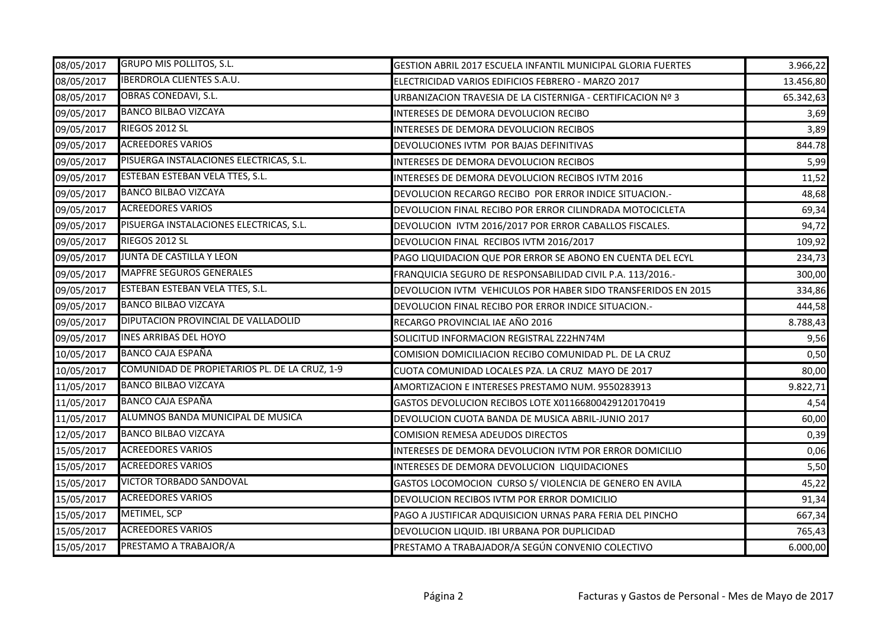| 08/05/2017 | <b>GRUPO MIS POLLITOS, S.L.</b>               | GESTION ABRIL 2017 ESCUELA INFANTIL MUNICIPAL GLORIA FUERTES  | 3.966,22  |
|------------|-----------------------------------------------|---------------------------------------------------------------|-----------|
| 08/05/2017 | <b>IBERDROLA CLIENTES S.A.U.</b>              | ELECTRICIDAD VARIOS EDIFICIOS FEBRERO - MARZO 2017            | 13.456,80 |
| 08/05/2017 | <b>OBRAS CONEDAVI, S.L.</b>                   | URBANIZACION TRAVESIA DE LA CISTERNIGA - CERTIFICACION Nº 3   | 65.342,63 |
| 09/05/2017 | <b>BANCO BILBAO VIZCAYA</b>                   | INTERESES DE DEMORA DEVOLUCION RECIBO                         | 3,69      |
| 09/05/2017 | RIEGOS 2012 SL                                | INTERESES DE DEMORA DEVOLUCION RECIBOS                        | 3,89      |
| 09/05/2017 | <b>ACREEDORES VARIOS</b>                      | DEVOLUCIONES IVTM POR BAJAS DEFINITIVAS                       | 844.78    |
| 09/05/2017 | PISUERGA INSTALACIONES ELECTRICAS, S.L.       | INTERESES DE DEMORA DEVOLUCION RECIBOS                        | 5,99      |
| 09/05/2017 | ESTEBAN ESTEBAN VELA TTES, S.L.               | INTERESES DE DEMORA DEVOLUCION RECIBOS IVTM 2016              | 11,52     |
| 09/05/2017 | <b>BANCO BILBAO VIZCAYA</b>                   | DEVOLUCION RECARGO RECIBO POR ERROR INDICE SITUACION.-        | 48,68     |
| 09/05/2017 | <b>ACREEDORES VARIOS</b>                      | DEVOLUCION FINAL RECIBO POR ERROR CILINDRADA MOTOCICLETA      | 69,34     |
| 09/05/2017 | PISUERGA INSTALACIONES ELECTRICAS, S.L.       | DEVOLUCION IVTM 2016/2017 POR ERROR CABALLOS FISCALES.        | 94,72     |
| 09/05/2017 | RIEGOS 2012 SL                                | DEVOLUCION FINAL RECIBOS IVTM 2016/2017                       | 109,92    |
| 09/05/2017 | JUNTA DE CASTILLA Y LEON                      | PAGO LIQUIDACION QUE POR ERROR SE ABONO EN CUENTA DEL ECYL    | 234,73    |
| 09/05/2017 | <b>MAPFRE SEGUROS GENERALES</b>               | FRANQUICIA SEGURO DE RESPONSABILIDAD CIVIL P.A. 113/2016.-    | 300,00    |
| 09/05/2017 | ESTEBAN ESTEBAN VELA TTES, S.L.               | DEVOLUCION IVTM VEHICULOS POR HABER SIDO TRANSFERIDOS EN 2015 | 334,86    |
| 09/05/2017 | <b>BANCO BILBAO VIZCAYA</b>                   | DEVOLUCION FINAL RECIBO POR ERROR INDICE SITUACION.-          | 444,58    |
| 09/05/2017 | DIPUTACION PROVINCIAL DE VALLADOLID           | RECARGO PROVINCIAL IAE AÑO 2016                               | 8.788,43  |
| 09/05/2017 | <b>INES ARRIBAS DEL HOYO</b>                  | SOLICITUD INFORMACION REGISTRAL Z22HN74M                      | 9,56      |
| 10/05/2017 | <b>BANCO CAJA ESPAÑA</b>                      | COMISION DOMICILIACION RECIBO COMUNIDAD PL. DE LA CRUZ        | 0,50      |
| 10/05/2017 | COMUNIDAD DE PROPIETARIOS PL. DE LA CRUZ, 1-9 | CUOTA COMUNIDAD LOCALES PZA. LA CRUZ MAYO DE 2017             | 80,00     |
| 11/05/2017 | <b>BANCO BILBAO VIZCAYA</b>                   | AMORTIZACION E INTERESES PRESTAMO NUM. 9550283913             | 9.822,71  |
| 11/05/2017 | <b>BANCO CAJA ESPAÑA</b>                      | GASTOS DEVOLUCION RECIBOS LOTE X01166800429120170419          | 4,54      |
| 11/05/2017 | ALUMNOS BANDA MUNICIPAL DE MUSICA             | DEVOLUCION CUOTA BANDA DE MUSICA ABRIL-JUNIO 2017             | 60,00     |
| 12/05/2017 | <b>BANCO BILBAO VIZCAYA</b>                   | COMISION REMESA ADEUDOS DIRECTOS                              | 0,39      |
| 15/05/2017 | <b>ACREEDORES VARIOS</b>                      | INTERESES DE DEMORA DEVOLUCION IVTM POR ERROR DOMICILIO       | 0,06      |
| 15/05/2017 | <b>ACREEDORES VARIOS</b>                      | INTERESES DE DEMORA DEVOLUCION LIQUIDACIONES                  | 5,50      |
| 15/05/2017 | <b>VICTOR TORBADO SANDOVAL</b>                | GASTOS LOCOMOCION CURSO S/ VIOLENCIA DE GENERO EN AVILA       | 45,22     |
| 15/05/2017 | <b>ACREEDORES VARIOS</b>                      | DEVOLUCION RECIBOS IVTM POR ERROR DOMICILIO                   | 91,34     |
| 15/05/2017 | <b>METIMEL, SCP</b>                           | PAGO A JUSTIFICAR ADQUISICION URNAS PARA FERIA DEL PINCHO     | 667,34    |
| 15/05/2017 | <b>ACREEDORES VARIOS</b>                      | DEVOLUCION LIQUID. IBI URBANA POR DUPLICIDAD                  | 765,43    |
| 15/05/2017 | PRESTAMO A TRABAJOR/A                         | PRESTAMO A TRABAJADOR/A SEGÚN CONVENIO COLECTIVO              | 6.000,00  |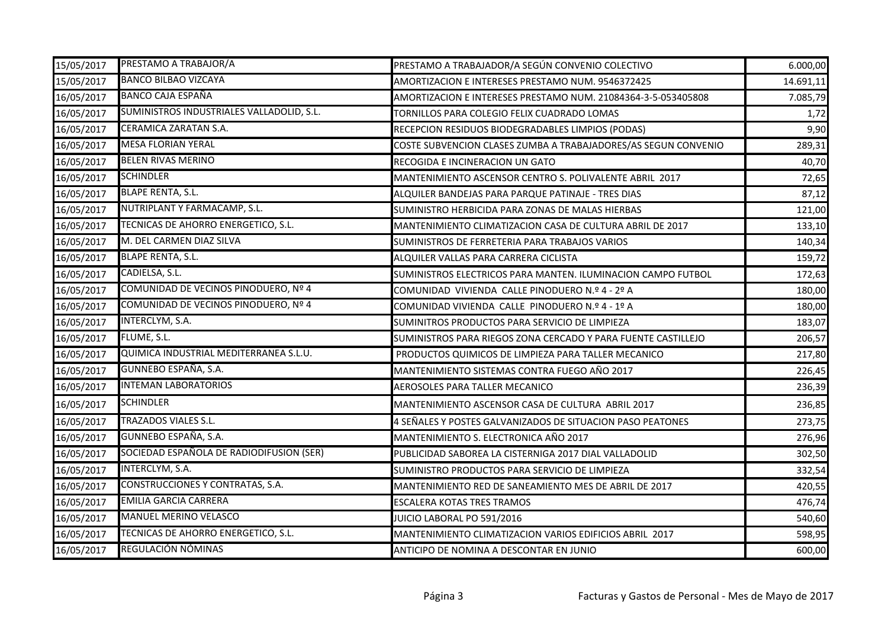| 15/05/2017 | PRESTAMO A TRABAJOR/A                     | PRESTAMO A TRABAJADOR/A SEGÚN CONVENIO COLECTIVO               | 6.000,00  |
|------------|-------------------------------------------|----------------------------------------------------------------|-----------|
| 15/05/2017 | <b>BANCO BILBAO VIZCAYA</b>               | AMORTIZACION E INTERESES PRESTAMO NUM. 9546372425              | 14.691,11 |
| 16/05/2017 | <b>BANCO CAJA ESPAÑA</b>                  | AMORTIZACION E INTERESES PRESTAMO NUM. 21084364-3-5-053405808  | 7.085,79  |
| 16/05/2017 | SUMINISTROS INDUSTRIALES VALLADOLID, S.L. | TORNILLOS PARA COLEGIO FELIX CUADRADO LOMAS                    | 1,72      |
| 16/05/2017 | <b>CERAMICA ZARATAN S.A.</b>              | RECEPCION RESIDUOS BIODEGRADABLES LIMPIOS (PODAS)              | 9,90      |
| 16/05/2017 | <b>MESA FLORIAN YERAL</b>                 | COSTE SUBVENCION CLASES ZUMBA A TRABAJADORES/AS SEGUN CONVENIO | 289,31    |
| 16/05/2017 | <b>BELEN RIVAS MERINO</b>                 | RECOGIDA E INCINERACION UN GATO                                | 40,70     |
| 16/05/2017 | SCHINDLER                                 | MANTENIMIENTO ASCENSOR CENTRO S. POLIVALENTE ABRIL 2017        | 72,65     |
| 16/05/2017 | <b>BLAPE RENTA, S.L.</b>                  | ALQUILER BANDEJAS PARA PARQUE PATINAJE - TRES DIAS             | 87,12     |
| 16/05/2017 | NUTRIPLANT Y FARMACAMP, S.L.              | SUMINISTRO HERBICIDA PARA ZONAS DE MALAS HIERBAS               | 121,00    |
| 16/05/2017 | TECNICAS DE AHORRO ENERGETICO, S.L.       | MANTENIMIENTO CLIMATIZACION CASA DE CULTURA ABRIL DE 2017      | 133,10    |
| 16/05/2017 | M. DEL CARMEN DIAZ SILVA                  | SUMINISTROS DE FERRETERIA PARA TRABAJOS VARIOS                 | 140,34    |
| 16/05/2017 | <b>BLAPE RENTA, S.L.</b>                  | ALQUILER VALLAS PARA CARRERA CICLISTA                          | 159,72    |
| 16/05/2017 | CADIELSA, S.L.                            | SUMINISTROS ELECTRICOS PARA MANTEN. ILUMINACION CAMPO FUTBOL   | 172,63    |
| 16/05/2017 | COMUNIDAD DE VECINOS PINODUERO, Nº 4      | COMUNIDAD VIVIENDA CALLE PINODUERO N.º 4 - 2º A                | 180,00    |
| 16/05/2017 | COMUNIDAD DE VECINOS PINODUERO, Nº 4      | COMUNIDAD VIVIENDA CALLE PINODUERO N.º 4 - 1º A                | 180,00    |
| 16/05/2017 | INTERCLYM, S.A.                           | SUMINITROS PRODUCTOS PARA SERVICIO DE LIMPIEZA                 | 183,07    |
| 16/05/2017 | FLUME, S.L.                               | SUMINISTROS PARA RIEGOS ZONA CERCADO Y PARA FUENTE CASTILLEJO  | 206,57    |
| 16/05/2017 | QUIMICA INDUSTRIAL MEDITERRANEA S.L.U.    | PRODUCTOS QUIMICOS DE LIMPIEZA PARA TALLER MECANICO            | 217,80    |
| 16/05/2017 | GUNNEBO ESPAÑA, S.A.                      | MANTENIMIENTO SISTEMAS CONTRA FUEGO AÑO 2017                   | 226,45    |
| 16/05/2017 | <b>INTEMAN LABORATORIOS</b>               | AEROSOLES PARA TALLER MECANICO                                 | 236,39    |
| 16/05/2017 | <b>SCHINDLER</b>                          | MANTENIMIENTO ASCENSOR CASA DE CULTURA ABRIL 2017              | 236,85    |
| 16/05/2017 | TRAZADOS VIALES S.L.                      | 4 SEÑALES Y POSTES GALVANIZADOS DE SITUACION PASO PEATONES     | 273,75    |
| 16/05/2017 | GUNNEBO ESPAÑA, S.A.                      | MANTENIMIENTO S. ELECTRONICA AÑO 2017                          | 276,96    |
| 16/05/2017 | SOCIEDAD ESPAÑOLA DE RADIODIFUSION (SER)  | PUBLICIDAD SABOREA LA CISTERNIGA 2017 DIAL VALLADOLID          | 302,50    |
| 16/05/2017 | INTERCLYM, S.A.                           | SUMINISTRO PRODUCTOS PARA SERVICIO DE LIMPIEZA                 | 332,54    |
| 16/05/2017 | CONSTRUCCIONES Y CONTRATAS, S.A.          | MANTENIMIENTO RED DE SANEAMIENTO MES DE ABRIL DE 2017          | 420,55    |
| 16/05/2017 | <b>EMILIA GARCIA CARRERA</b>              | <b>ESCALERA KOTAS TRES TRAMOS</b>                              | 476,74    |
| 16/05/2017 | MANUEL MERINO VELASCO                     | JUICIO LABORAL PO 591/2016                                     | 540,60    |
| 16/05/2017 | TECNICAS DE AHORRO ENERGETICO, S.L.       | MANTENIMIENTO CLIMATIZACION VARIOS EDIFICIOS ABRIL 2017        | 598,95    |
| 16/05/2017 | REGULACIÓN NÓMINAS                        | ANTICIPO DE NOMINA A DESCONTAR EN JUNIO                        | 600,00    |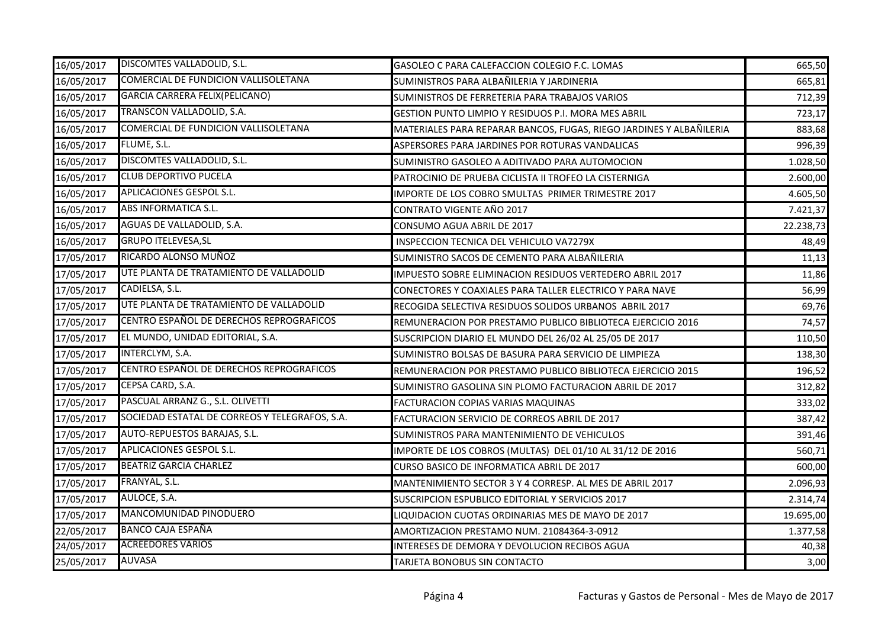| 16/05/2017 | DISCOMTES VALLADOLID, S.L.                     | GASOLEO C PARA CALEFACCION COLEGIO F.C. LOMAS                       | 665,50    |
|------------|------------------------------------------------|---------------------------------------------------------------------|-----------|
| 16/05/2017 | COMERCIAL DE FUNDICION VALLISOLETANA           | SUMINISTROS PARA ALBAÑILERIA Y JARDINERIA                           | 665,81    |
| 16/05/2017 | <b>GARCIA CARRERA FELIX(PELICANO)</b>          | SUMINISTROS DE FERRETERIA PARA TRABAJOS VARIOS                      | 712,39    |
| 16/05/2017 | TRANSCON VALLADOLID, S.A.                      | <b>GESTION PUNTO LIMPIO Y RESIDUOS P.I. MORA MES ABRIL</b>          | 723,17    |
| 16/05/2017 | COMERCIAL DE FUNDICION VALLISOLETANA           | MATERIALES PARA REPARAR BANCOS, FUGAS, RIEGO JARDINES Y ALBAÑILERIA | 883,68    |
| 16/05/2017 | FLUME, S.L.                                    | ASPERSORES PARA JARDINES POR ROTURAS VANDALICAS                     | 996,39    |
| 16/05/2017 | DISCOMTES VALLADOLID, S.L.                     | SUMINISTRO GASOLEO A ADITIVADO PARA AUTOMOCION                      | 1.028,50  |
| 16/05/2017 | <b>CLUB DEPORTIVO PUCELA</b>                   | PATROCINIO DE PRUEBA CICLISTA II TROFEO LA CISTERNIGA               | 2.600,00  |
| 16/05/2017 | <b>APLICACIONES GESPOL S.L.</b>                | IMPORTE DE LOS COBRO SMULTAS PRIMER TRIMESTRE 2017                  | 4.605,50  |
| 16/05/2017 | ABS INFORMATICA S.L.                           | CONTRATO VIGENTE AÑO 2017                                           | 7.421,37  |
| 16/05/2017 | AGUAS DE VALLADOLID, S.A.                      | CONSUMO AGUA ABRIL DE 2017                                          | 22.238,73 |
| 16/05/2017 | <b>GRUPO ITELEVESA, SL</b>                     | INSPECCION TECNICA DEL VEHICULO VA7279X                             | 48,49     |
| 17/05/2017 | RICARDO ALONSO MUÑOZ                           | SUMINISTRO SACOS DE CEMENTO PARA ALBAÑILERIA                        | 11,13     |
| 17/05/2017 | UTE PLANTA DE TRATAMIENTO DE VALLADOLID        | IMPUESTO SOBRE ELIMINACION RESIDUOS VERTEDERO ABRIL 2017            | 11,86     |
| 17/05/2017 | CADIELSA, S.L.                                 | CONECTORES Y COAXIALES PARA TALLER ELECTRICO Y PARA NAVE            | 56,99     |
| 17/05/2017 | UTE PLANTA DE TRATAMIENTO DE VALLADOLID        | RECOGIDA SELECTIVA RESIDUOS SOLIDOS URBANOS ABRIL 2017              | 69,76     |
| 17/05/2017 | CENTRO ESPAÑOL DE DERECHOS REPROGRAFICOS       | REMUNERACION POR PRESTAMO PUBLICO BIBLIOTECA EJERCICIO 2016         | 74,57     |
| 17/05/2017 | EL MUNDO, UNIDAD EDITORIAL, S.A.               | SUSCRIPCION DIARIO EL MUNDO DEL 26/02 AL 25/05 DE 2017              | 110,50    |
| 17/05/2017 | INTERCLYM, S.A.                                | SUMINISTRO BOLSAS DE BASURA PARA SERVICIO DE LIMPIEZA               | 138,30    |
| 17/05/2017 | CENTRO ESPAÑOL DE DERECHOS REPROGRAFICOS       | REMUNERACION POR PRESTAMO PUBLICO BIBLIOTECA EJERCICIO 2015         | 196,52    |
| 17/05/2017 | CEPSA CARD, S.A.                               | SUMINISTRO GASOLINA SIN PLOMO FACTURACION ABRIL DE 2017             | 312,82    |
| 17/05/2017 | PASCUAL ARRANZ G., S.L. OLIVETTI               | <b>FACTURACION COPIAS VARIAS MAQUINAS</b>                           | 333,02    |
| 17/05/2017 | SOCIEDAD ESTATAL DE CORREOS Y TELEGRAFOS, S.A. | FACTURACION SERVICIO DE CORREOS ABRIL DE 2017                       | 387,42    |
| 17/05/2017 | AUTO-REPUESTOS BARAJAS, S.L.                   | SUMINISTROS PARA MANTENIMIENTO DE VEHICULOS                         | 391,46    |
| 17/05/2017 | APLICACIONES GESPOL S.L.                       | IMPORTE DE LOS COBROS (MULTAS) DEL 01/10 AL 31/12 DE 2016           | 560,71    |
| 17/05/2017 | <b>BEATRIZ GARCIA CHARLEZ</b>                  | CURSO BASICO DE INFORMATICA ABRIL DE 2017                           | 600,00    |
| 17/05/2017 | FRANYAL, S.L.                                  | MANTENIMIENTO SECTOR 3 Y 4 CORRESP. AL MES DE ABRIL 2017            | 2.096,93  |
| 17/05/2017 | AULOCE, S.A.                                   | SUSCRIPCION ESPUBLICO EDITORIAL Y SERVICIOS 2017                    | 2.314,74  |
| 17/05/2017 | MANCOMUNIDAD PINODUERO                         | LIQUIDACION CUOTAS ORDINARIAS MES DE MAYO DE 2017                   | 19.695,00 |
| 22/05/2017 | BANCO CAJA ESPAÑA                              | AMORTIZACION PRESTAMO NUM. 21084364-3-0912                          | 1.377,58  |
| 24/05/2017 | <b>ACREEDORES VARIOS</b>                       | INTERESES DE DEMORA Y DEVOLUCION RECIBOS AGUA                       | 40,38     |
| 25/05/2017 | <b>AUVASA</b>                                  | TARJETA BONOBUS SIN CONTACTO                                        | 3,00      |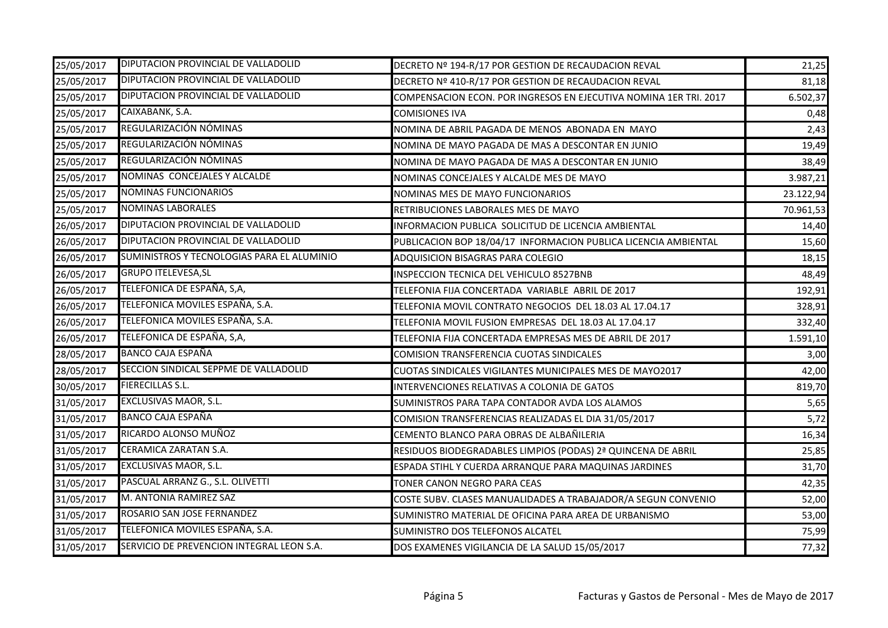| 25/05/2017 | DIPUTACION PROVINCIAL DE VALLADOLID        | DECRETO Nº 194-R/17 POR GESTION DE RECAUDACION REVAL              | 21,25     |
|------------|--------------------------------------------|-------------------------------------------------------------------|-----------|
| 25/05/2017 | DIPUTACION PROVINCIAL DE VALLADOLID        | DECRETO Nº 410-R/17 POR GESTION DE RECAUDACION REVAL              | 81,18     |
| 25/05/2017 | DIPUTACION PROVINCIAL DE VALLADOLID        | COMPENSACION ECON. POR INGRESOS EN EJECUTIVA NOMINA 1ER TRI. 2017 | 6.502,37  |
| 25/05/2017 | CAIXABANK, S.A.                            | <b>COMISIONES IVA</b>                                             | 0,48      |
| 25/05/2017 | REGULARIZACIÓN NÓMINAS                     | NOMINA DE ABRIL PAGADA DE MENOS ABONADA EN MAYO                   | 2,43      |
| 25/05/2017 | REGULARIZACIÓN NÓMINAS                     | NOMINA DE MAYO PAGADA DE MAS A DESCONTAR EN JUNIO                 | 19,49     |
| 25/05/2017 | REGULARIZACIÓN NÓMINAS                     | NOMINA DE MAYO PAGADA DE MAS A DESCONTAR EN JUNIO                 | 38,49     |
| 25/05/2017 | NOMINAS CONCEJALES Y ALCALDE               | NOMINAS CONCEJALES Y ALCALDE MES DE MAYO                          | 3.987,21  |
| 25/05/2017 | <b>NOMINAS FUNCIONARIOS</b>                | NOMINAS MES DE MAYO FUNCIONARIOS                                  | 23.122,94 |
| 25/05/2017 | <b>NOMINAS LABORALES</b>                   | RETRIBUCIONES LABORALES MES DE MAYO                               | 70.961,53 |
| 26/05/2017 | DIPUTACION PROVINCIAL DE VALLADOLID        | INFORMACION PUBLICA SOLICITUD DE LICENCIA AMBIENTAL               | 14,40     |
| 26/05/2017 | DIPUTACION PROVINCIAL DE VALLADOLID        | PUBLICACION BOP 18/04/17 INFORMACION PUBLICA LICENCIA AMBIENTAL   | 15,60     |
| 26/05/2017 | SUMINISTROS Y TECNOLOGIAS PARA EL ALUMINIO | ADQUISICION BISAGRAS PARA COLEGIO                                 | 18,15     |
| 26/05/2017 | <b>GRUPO ITELEVESA, SL</b>                 | INSPECCION TECNICA DEL VEHICULO 8527BNB                           | 48,49     |
| 26/05/2017 | TELEFONICA DE ESPAÑA, S,A,                 | TELEFONIA FIJA CONCERTADA VARIABLE ABRIL DE 2017                  | 192,91    |
| 26/05/2017 | TELEFONICA MOVILES ESPAÑA, S.A.            | TELEFONIA MOVIL CONTRATO NEGOCIOS DEL 18.03 AL 17.04.17           | 328,91    |
| 26/05/2017 | TELEFONICA MOVILES ESPAÑA, S.A.            | TELEFONIA MOVIL FUSION EMPRESAS DEL 18.03 AL 17.04.17             | 332,40    |
| 26/05/2017 | TELEFONICA DE ESPAÑA, S,A,                 | TELEFONIA FIJA CONCERTADA EMPRESAS MES DE ABRIL DE 2017           | 1.591,10  |
| 28/05/2017 | <b>BANCO CAJA ESPAÑA</b>                   | COMISION TRANSFERENCIA CUOTAS SINDICALES                          | 3,00      |
| 28/05/2017 | SECCION SINDICAL SEPPME DE VALLADOLID      | CUOTAS SINDICALES VIGILANTES MUNICIPALES MES DE MAYO2017          | 42,00     |
| 30/05/2017 | <b>FIERECILLAS S.L.</b>                    | INTERVENCIONES RELATIVAS A COLONIA DE GATOS                       | 819,70    |
| 31/05/2017 | EXCLUSIVAS MAOR, S.L.                      | SUMINISTROS PARA TAPA CONTADOR AVDA LOS ALAMOS                    | 5,65      |
| 31/05/2017 | <b>BANCO CAJA ESPAÑA</b>                   | COMISION TRANSFERENCIAS REALIZADAS EL DIA 31/05/2017              | 5,72      |
| 31/05/2017 | RICARDO ALONSO MUÑOZ                       | CEMENTO BLANCO PARA OBRAS DE ALBAÑILERIA                          | 16,34     |
| 31/05/2017 | CERAMICA ZARATAN S.A.                      | RESIDUOS BIODEGRADABLES LIMPIOS (PODAS) 2ª QUINCENA DE ABRIL      | 25,85     |
| 31/05/2017 | EXCLUSIVAS MAOR, S.L.                      | ESPADA STIHL Y CUERDA ARRANQUE PARA MAQUINAS JARDINES             | 31,70     |
| 31/05/2017 | PASCUAL ARRANZ G., S.L. OLIVETTI           | TONER CANON NEGRO PARA CEAS                                       | 42,35     |
| 31/05/2017 | M. ANTONIA RAMIREZ SAZ                     | COSTE SUBV. CLASES MANUALIDADES A TRABAJADOR/A SEGUN CONVENIO     | 52,00     |
| 31/05/2017 | ROSARIO SAN JOSE FERNANDEZ                 | SUMINISTRO MATERIAL DE OFICINA PARA AREA DE URBANISMO             | 53,00     |
| 31/05/2017 | TELEFONICA MOVILES ESPAÑA, S.A.            | SUMINISTRO DOS TELEFONOS ALCATEL                                  | 75,99     |
| 31/05/2017 | SERVICIO DE PREVENCION INTEGRAL LEON S.A.  | DOS EXAMENES VIGILANCIA DE LA SALUD 15/05/2017                    | 77,32     |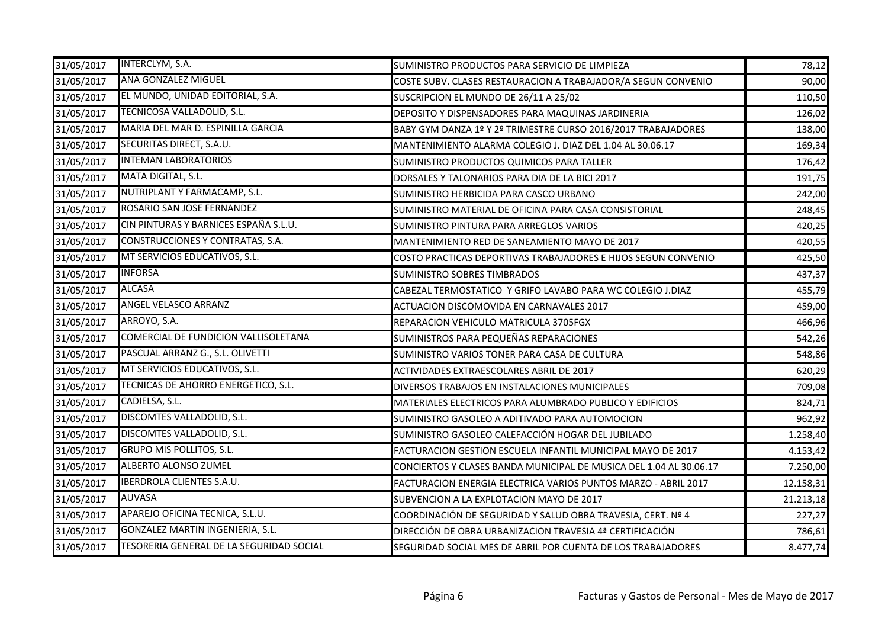| 31/05/2017 | INTERCLYM, S.A.                          | SUMINISTRO PRODUCTOS PARA SERVICIO DE LIMPIEZA                     | 78,12     |
|------------|------------------------------------------|--------------------------------------------------------------------|-----------|
| 31/05/2017 | <b>ANA GONZALEZ MIGUEL</b>               | COSTE SUBV. CLASES RESTAURACION A TRABAJADOR/A SEGUN CONVENIO      | 90,00     |
| 31/05/2017 | EL MUNDO, UNIDAD EDITORIAL, S.A.         | SUSCRIPCION EL MUNDO DE 26/11 A 25/02                              | 110,50    |
| 31/05/2017 | TECNICOSA VALLADOLID, S.L.               | DEPOSITO Y DISPENSADORES PARA MAQUINAS JARDINERIA                  | 126,02    |
| 31/05/2017 | MARIA DEL MAR D. ESPINILLA GARCIA        | BABY GYM DANZA 1º Y 2º TRIMESTRE CURSO 2016/2017 TRABAJADORES      | 138,00    |
| 31/05/2017 | SECURITAS DIRECT, S.A.U.                 | MANTENIMIENTO ALARMA COLEGIO J. DIAZ DEL 1.04 AL 30.06.17          | 169,34    |
| 31/05/2017 | <b>INTEMAN LABORATORIOS</b>              | SUMINISTRO PRODUCTOS QUIMICOS PARA TALLER                          | 176,42    |
| 31/05/2017 | MATA DIGITAL, S.L.                       | DORSALES Y TALONARIOS PARA DIA DE LA BICI 2017                     | 191,75    |
| 31/05/2017 | NUTRIPLANT Y FARMACAMP, S.L.             | SUMINISTRO HERBICIDA PARA CASCO URBANO                             | 242,00    |
| 31/05/2017 | ROSARIO SAN JOSE FERNANDEZ               | SUMINISTRO MATERIAL DE OFICINA PARA CASA CONSISTORIAL              | 248,45    |
| 31/05/2017 | CIN PINTURAS Y BARNICES ESPAÑA S.L.U.    | SUMINISTRO PINTURA PARA ARREGLOS VARIOS                            | 420,25    |
| 31/05/2017 | CONSTRUCCIONES Y CONTRATAS, S.A.         | MANTENIMIENTO RED DE SANEAMIENTO MAYO DE 2017                      | 420,55    |
| 31/05/2017 | MT SERVICIOS EDUCATIVOS, S.L.            | COSTO PRACTICAS DEPORTIVAS TRABAJADORES E HIJOS SEGUN CONVENIO     | 425,50    |
| 31/05/2017 | <b>INFORSA</b>                           | <b>SUMINISTRO SOBRES TIMBRADOS</b>                                 | 437,37    |
| 31/05/2017 | <b>ALCASA</b>                            | CABEZAL TERMOSTATICO Y GRIFO LAVABO PARA WC COLEGIO J.DIAZ         | 455,79    |
| 31/05/2017 | <b>ANGEL VELASCO ARRANZ</b>              | ACTUACION DISCOMOVIDA EN CARNAVALES 2017                           | 459,00    |
| 31/05/2017 | ARROYO, S.A.                             | REPARACION VEHICULO MATRICULA 3705FGX                              | 466,96    |
| 31/05/2017 | COMERCIAL DE FUNDICION VALLISOLETANA     | SUMINISTROS PARA PEQUEÑAS REPARACIONES                             | 542,26    |
| 31/05/2017 | PASCUAL ARRANZ G., S.L. OLIVETTI         | SUMINISTRO VARIOS TONER PARA CASA DE CULTURA                       | 548,86    |
| 31/05/2017 | MT SERVICIOS EDUCATIVOS, S.L.            | ACTIVIDADES EXTRAESCOLARES ABRIL DE 2017                           | 620,29    |
| 31/05/2017 | TECNICAS DE AHORRO ENERGETICO, S.L.      | DIVERSOS TRABAJOS EN INSTALACIONES MUNICIPALES                     | 709,08    |
| 31/05/2017 | CADIELSA, S.L.                           | MATERIALES ELECTRICOS PARA ALUMBRADO PUBLICO Y EDIFICIOS           | 824,71    |
| 31/05/2017 | DISCOMTES VALLADOLID, S.L.               | SUMINISTRO GASOLEO A ADITIVADO PARA AUTOMOCION                     | 962,92    |
| 31/05/2017 | DISCOMTES VALLADOLID, S.L.               | SUMINISTRO GASOLEO CALEFACCIÓN HOGAR DEL JUBILADO                  | 1.258,40  |
| 31/05/2017 | <b>GRUPO MIS POLLITOS, S.L.</b>          | FACTURACION GESTION ESCUELA INFANTIL MUNICIPAL MAYO DE 2017        | 4.153,42  |
| 31/05/2017 | <b>ALBERTO ALONSO ZUMEL</b>              | CONCIERTOS Y CLASES BANDA MUNICIPAL DE MUSICA DEL 1.04 AL 30.06.17 | 7.250,00  |
| 31/05/2017 | <b>IBERDROLA CLIENTES S.A.U.</b>         | FACTURACION ENERGIA ELECTRICA VARIOS PUNTOS MARZO - ABRIL 2017     | 12.158,31 |
| 31/05/2017 | <b>AUVASA</b>                            | SUBVENCION A LA EXPLOTACION MAYO DE 2017                           | 21.213,18 |
| 31/05/2017 | APAREJO OFICINA TECNICA, S.L.U.          | COORDINACIÓN DE SEGURIDAD Y SALUD OBRA TRAVESIA, CERT. Nº 4        | 227,27    |
| 31/05/2017 | GONZALEZ MARTIN INGENIERIA, S.L.         | DIRECCIÓN DE OBRA URBANIZACION TRAVESIA 4ª CERTIFICACIÓN           | 786,61    |
| 31/05/2017 | TESORERIA GENERAL DE LA SEGURIDAD SOCIAL | SEGURIDAD SOCIAL MES DE ABRIL POR CUENTA DE LOS TRABAJADORES       | 8.477,74  |